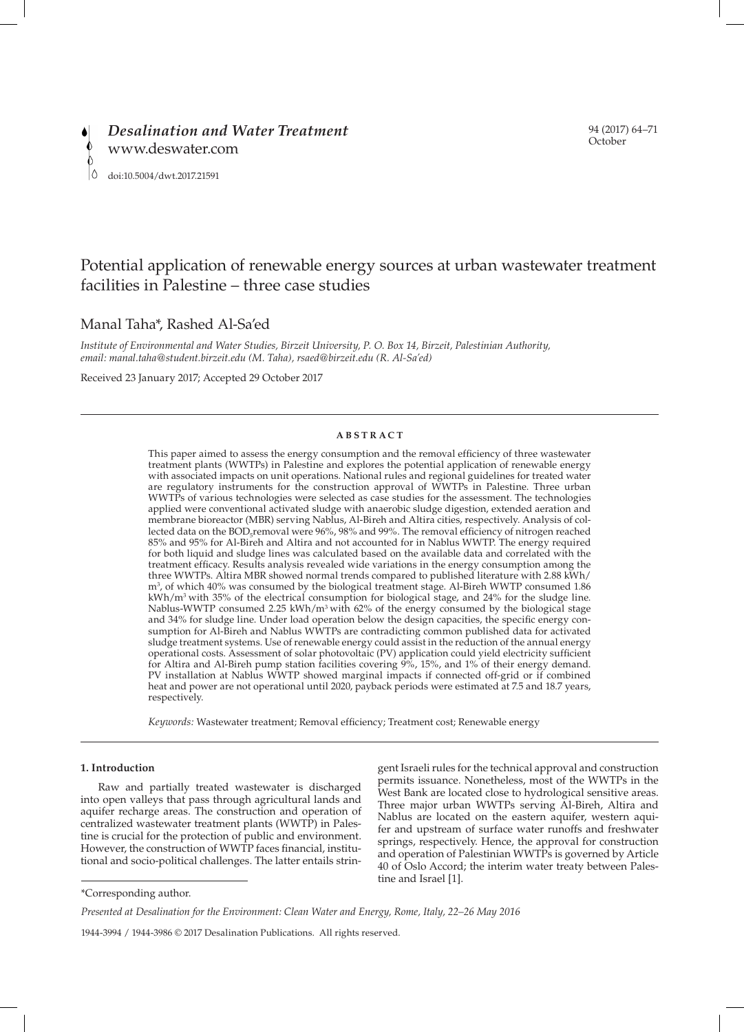# Potential application of renewable energy sources at urban wastewater treatment facilities in Palestine – three case studies

# Manal Taha\*, Rashed Al-Sa'ed

*Institute of Environmental and Water Studies, Birzeit University, P. O. Box 14, Birzeit, Palestinian Authority, email: manal.taha@student.birzeit.edu (M. Taha), rsaed@birzeit.edu (R. Al-Sa'ed)*

Received 23 January 2017; Accepted 29 October 2017

# **ABSTRACT**

This paper aimed to assess the energy consumption and the removal efficiency of three wastewater treatment plants (WWTPs) in Palestine and explores the potential application of renewable energy with associated impacts on unit operations. National rules and regional guidelines for treated water are regulatory instruments for the construction approval of WWTPs in Palestine. Three urban WWTPs of various technologies were selected as case studies for the assessment. The technologies applied were conventional activated sludge with anaerobic sludge digestion, extended aeration and membrane bioreactor (MBR) serving Nablus, Al-Bireh and Altira cities, respectively. Analysis of collected data on the  $\text{BOD}_\text{s}$  removal were 96%, 98% and 99%. The removal efficiency of nitrogen reached 85% and 95% for Al-Bireh and Altira and not accounted for in Nablus WWTP. The energy required for both liquid and sludge lines was calculated based on the available data and correlated with the treatment efficacy. Results analysis revealed wide variations in the energy consumption among the three WWTPs. Altira MBR showed normal trends compared to published literature with 2.88 kWh/ m3 , of which 40% was consumed by the biological treatment stage. Al-Bireh WWTP consumed 1.86  $kWh/m<sup>3</sup>$  with 35% of the electrical consumption for biological stage, and 24% for the sludge line. Nablus-WWTP consumed 2.25 kWh/m<sup>3</sup> with 62% of the energy consumed by the biological stage and 34% for sludge line. Under load operation below the design capacities, the specific energy consumption for Al-Bireh and Nablus WWTPs are contradicting common published data for activated sludge treatment systems. Use of renewable energy could assist in the reduction of the annual energy operational costs. Assessment of solar photovoltaic (PV) application could yield electricity sufficient for Altira and Al-Bireh pump station facilities covering  $9\%$ , 15%, and 1% of their energy demand. PV installation at Nablus WWTP showed marginal impacts if connected off-grid or if combined<br>PV installation at Nablus WWTP showed marginal impacts if connected off-grid or if combined heat and power are not operational until 2020, payback periods were estimated at 7.5 and 18.7 years, respectively.

*Keywords:* Wastewater treatment; Removal efficiency; Treatment cost; Renewable energy

# **1. Introduction**

Raw and partially treated wastewater is discharged into open valleys that pass through agricultural lands and aquifer recharge areas. The construction and operation of centralized wastewater treatment plants (WWTP) in Palestine is crucial for the protection of public and environment. However, the construction of WWTP faces financial, institutional and socio-political challenges. The latter entails strin-

gent Israeli rules for the technical approval and construction permits issuance. Nonetheless, most of the WWTPs in the West Bank are located close to hydrological sensitive areas. Three major urban WWTPs serving Al-Bireh, Altira and Nablus are located on the eastern aquifer, western aquifer and upstream of surface water runoffs and freshwater springs, respectively. Hence, the approval for construction and operation of Palestinian WWTPs is governed by Article 40 of Oslo Accord; the interim water treaty between Palestine and Israel [1].

1944-3994 / 1944-3986 © 2017 Desalination Publications. All rights reserved.

<sup>\*</sup>Corresponding author.

*Presented at Desalination for the Environment: Clean Water and Energy, Rome, Italy, 22–26 May 2016*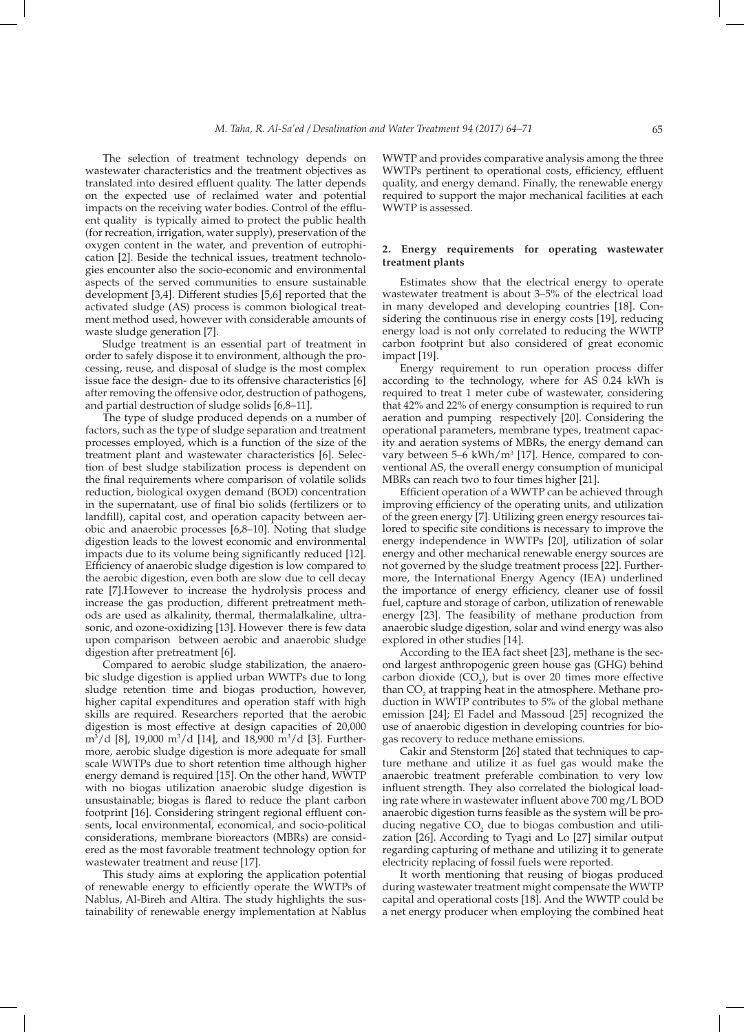The selection of treatment technology depends on wastewater characteristics and the treatment objectives as translated into desired effluent quality. The latter depends on the expected use of reclaimed water and potential impacts on the receiving water bodies. Control of the effluent quality is typically aimed to protect the public health (for recreation, irrigation, water supply), preservation of the oxygen content in the water, and prevention of eutrophication [2]. Beside the technical issues, treatment technologies encounter also the socio-economic and environmental aspects of the served communities to ensure sustainable development [3,4]. Different studies [5,6] reported that the activated sludge (AS) process is common biological treatment method used, however with considerable amounts of waste sludge generation [7].

Sludge treatment is an essential part of treatment in order to safely dispose it to environment, although the processing, reuse, and disposal of sludge is the most complex issue face the design- due to its offensive characteristics [6] after removing the offensive odor, destruction of pathogens, and partial destruction of sludge solids [6,8–11].

The type of sludge produced depends on a number of factors, such as the type of sludge separation and treatment processes employed, which is a function of the size of the treatment plant and wastewater characteristics [6]. Selection of best sludge stabilization process is dependent on the final requirements where comparison of volatile solids reduction, biological oxygen demand (BOD) concentration in the supernatant, use of final bio solids (fertilizers or to landfill), capital cost, and operation capacity between aerobic and anaerobic processes [6,8–10]. Noting that sludge digestion leads to the lowest economic and environmental impacts due to its volume being significantly reduced [12]. Efficiency of anaerobic sludge digestion is low compared to the aerobic digestion, even both are slow due to cell decay rate [7].However to increase the hydrolysis process and increase the gas production, different pretreatment methods are used as alkalinity, thermal, thermalalkaline, ultrasonic, and ozone-oxidizing [13]. However there is few data upon comparison between aerobic and anaerobic sludge digestion after pretreatment [6].

Compared to aerobic sludge stabilization, the anaerobic sludge digestion is applied urban WWTPs due to long sludge retention time and biogas production, however, higher capital expenditures and operation staff with high skills are required. Researchers reported that the aerobic digestion is most effective at design capacities of 20,000 m<sup>3</sup>/d [8], 19,000 m<sup>3</sup>/d [14], and 18,900 m<sup>3</sup>/d [3]. Furthermore, aerobic sludge digestion is more adequate for small scale WWTPs due to short retention time although higher energy demand is required [15]. On the other hand, WWTP with no biogas utilization anaerobic sludge digestion is unsustainable; biogas is flared to reduce the plant carbon footprint [16]. Considering stringent regional effluent consents, local environmental, economical, and socio-political considerations, membrane bioreactors (MBRs) are considered as the most favorable treatment technology option for wastewater treatment and reuse [17].

This study aims at exploring the application potential of renewable energy to efficiently operate the WWTPs of Nablus, Al-Bireh and Altira. The study highlights the sustainability of renewable energy implementation at Nablus WWTP and provides comparative analysis among the three WWTPs pertinent to operational costs, efficiency, effluent quality, and energy demand. Finally, the renewable energy required to support the major mechanical facilities at each WWTP is assessed.

# **2. Energy requirements for operating wastewater treatment plants**

Estimates show that the electrical energy to operate wastewater treatment is about 3–5% of the electrical load in many developed and developing countries [18]. Considering the continuous rise in energy costs [19], reducing energy load is not only correlated to reducing the WWTP carbon footprint but also considered of great economic impact [19].

Energy requirement to run operation process differ according to the technology, where for AS 0.24 kWh is required to treat 1 meter cube of wastewater, considering that 42% and 22% of energy consumption is required to run aeration and pumping respectively [20]. Considering the operational parameters, membrane types, treatment capacity and aeration systems of MBRs, the energy demand can vary between 5–6 kWh/m<sup>3</sup> [17]. Hence, compared to conventional AS, the overall energy consumption of municipal MBRs can reach two to four times higher [21].

Efficient operation of a WWTP can be achieved through improving efficiency of the operating units, and utilization of the green energy [7]. Utilizing green energy resources tailored to specific site conditions is necessary to improve the energy independence in WWTPs [20], utilization of solar energy and other mechanical renewable energy sources are not governed by the sludge treatment process [22]. Furthermore, the International Energy Agency (IEA) underlined the importance of energy efficiency, cleaner use of fossil fuel, capture and storage of carbon, utilization of renewable energy [23]. The feasibility of methane production from anaerobic sludge digestion, solar and wind energy was also explored in other studies [14].

According to the IEA fact sheet [23], methane is the second largest anthropogenic green house gas (GHG) behind carbon dioxide  $(CO_2)$ , but is over 20 times more effective than  $CO_2$  at trapping heat in the atmosphere. Methane production in WWTP contributes to 5% of the global methane emission [24]; El Fadel and Massoud [25] recognized the use of anaerobic digestion in developing countries for biogas recovery to reduce methane emissions.

Cakir and Stenstorm [26] stated that techniques to capture methane and utilize it as fuel gas would make the anaerobic treatment preferable combination to very low influent strength. They also correlated the biological loading rate where in wastewater influent above 700 mg/L BOD anaerobic digestion turns feasible as the system will be producing negative  $CO<sub>2</sub>$  due to biogas combustion and utilization [26]. According to Tyagi and Lo [27] similar output regarding capturing of methane and utilizing it to generate electricity replacing of fossil fuels were reported.

It worth mentioning that reusing of biogas produced during wastewater treatment might compensate the WWTP capital and operational costs [18]. And the WWTP could be a net energy producer when employing the combined heat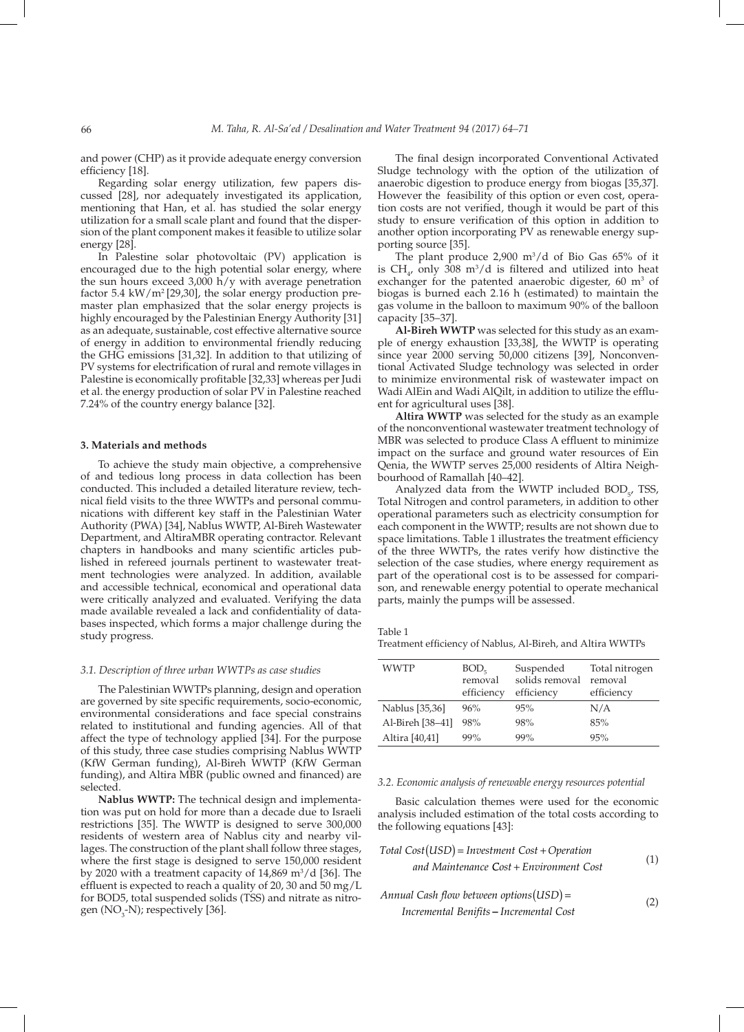and power (CHP) as it provide adequate energy conversion efficiency [18].

Regarding solar energy utilization, few papers discussed [28], nor adequately investigated its application, mentioning that Han, et al. has studied the solar energy utilization for a small scale plant and found that the dispersion of the plant component makes it feasible to utilize solar energy [28].

In Palestine solar photovoltaic (PV) application is encouraged due to the high potential solar energy, where the sun hours exceed 3,000 h/y with average penetration factor 5.4 kW/m2 [29,30], the solar energy production premaster plan emphasized that the solar energy projects is highly encouraged by the Palestinian Energy Authority [31] as an adequate, sustainable, cost effective alternative source of energy in addition to environmental friendly reducing the GHG emissions [31,32]. In addition to that utilizing of PV systems for electrification of rural and remote villages in Palestine is economically profitable [32,33] whereas per Judi et al. the energy production of solar PV in Palestine reached 7.24% of the country energy balance [32].

#### **3. Materials and methods**

To achieve the study main objective, a comprehensive of and tedious long process in data collection has been conducted. This included a detailed literature review, technical field visits to the three WWTPs and personal communications with different key staff in the Palestinian Water Authority (PWA) [34], Nablus WWTP, Al-Bireh Wastewater Department, and AltiraMBR operating contractor. Relevant chapters in handbooks and many scientific articles published in refereed journals pertinent to wastewater treatment technologies were analyzed. In addition, available and accessible technical, economical and operational data were critically analyzed and evaluated. Verifying the data made available revealed a lack and confidentiality of databases inspected, which forms a major challenge during the study progress.

# *3.1. Description of three urban WWTPs as case studies*

The Palestinian WWTPs planning, design and operation are governed by site specific requirements, socio-economic, environmental considerations and face special constrains related to institutional and funding agencies. All of that affect the type of technology applied [34]. For the purpose of this study, three case studies comprising Nablus WWTP (KfW German funding), Al-Bireh WWTP (KfW German funding), and Altira MBR (public owned and financed) are selected.

**Nablus WWTP:** The technical design and implementation was put on hold for more than a decade due to Israeli restrictions [35]. The WWTP is designed to serve 300,000 residents of western area of Nablus city and nearby villages. The construction of the plant shall follow three stages, where the first stage is designed to serve 150,000 resident by 2020 with a treatment capacity of  $14,869 \text{ m}^3/\text{d}$  [36]. The effluent is expected to reach a quality of 20, 30 and 50 mg/L for BOD5, total suspended solids (TSS) and nitrate as nitrogen (NO<sub>3</sub>-N); respectively [36].

The final design incorporated Conventional Activated Sludge technology with the option of the utilization of anaerobic digestion to produce energy from biogas [35,37]. However the feasibility of this option or even cost, operation costs are not verified, though it would be part of this study to ensure verification of this option in addition to another option incorporating PV as renewable energy supporting source [35].

The plant produce  $2,900 \text{ m}^3/\text{d}$  of Bio Gas 65% of it is  $CH_{4}$ , only 308 m<sup>3</sup>/d is filtered and utilized into heat exchanger for the patented anaerobic digester,  $60 \text{ m}^3$  of biogas is burned each 2.16 h (estimated) to maintain the gas volume in the balloon to maximum 90% of the balloon capacity [35–37].

**Al-Bireh WWTP** was selected for this study as an example of energy exhaustion [33,38], the WWTP is operating since year 2000 serving 50,000 citizens [39], Nonconventional Activated Sludge technology was selected in order to minimize environmental risk of wastewater impact on Wadi AlEin and Wadi AlQilt, in addition to utilize the effluent for agricultural uses [38].

**Altira WWTP** was selected for the study as an example of the nonconventional wastewater treatment technology of MBR was selected to produce Class A effluent to minimize impact on the surface and ground water resources of Ein Qenia, the WWTP serves 25,000 residents of Altira Neighbourhood of Ramallah [40–42].

Analyzed data from the WWTP included  $BOD_{5}$ , TSS, Total Nitrogen and control parameters, in addition to other operational parameters such as electricity consumption for each component in the WWTP; results are not shown due to space limitations. Table 1 illustrates the treatment efficiency of the three WWTPs, the rates verify how distinctive the selection of the case studies, where energy requirement as part of the operational cost is to be assessed for comparison, and renewable energy potential to operate mechanical parts, mainly the pumps will be assessed.

Table 1

Treatment efficiency of Nablus, Al-Bireh, and Altira WWTPs

| WWTP             | BOD <sub>5</sub><br>removal<br>efficiency | Suspended<br>solids removal | Total nitrogen<br>removal |
|------------------|-------------------------------------------|-----------------------------|---------------------------|
|                  |                                           | efficiency                  | efficiency                |
| Nablus [35,36]   | 96%                                       | 95%                         | N/A                       |
| Al-Bireh [38-41] | 98%                                       | 98%                         | 85%                       |
| Altira [40,41]   | 99%                                       | 99%                         | 95%                       |

#### *3.2. Economic analysis of renewable energy resources potential*

Basic calculation themes were used for the economic analysis included estimation of the total costs according to the following equations [43]:

Total Cost
$$
(USD)
$$
 = Investment Cost + Operation  
and Maintenance Cost + Environment Cost  
 $(1)$ 

*Annual Cash flow between options USD* ( ) = *Incremental Benifits* − *Incremental Cost* (2)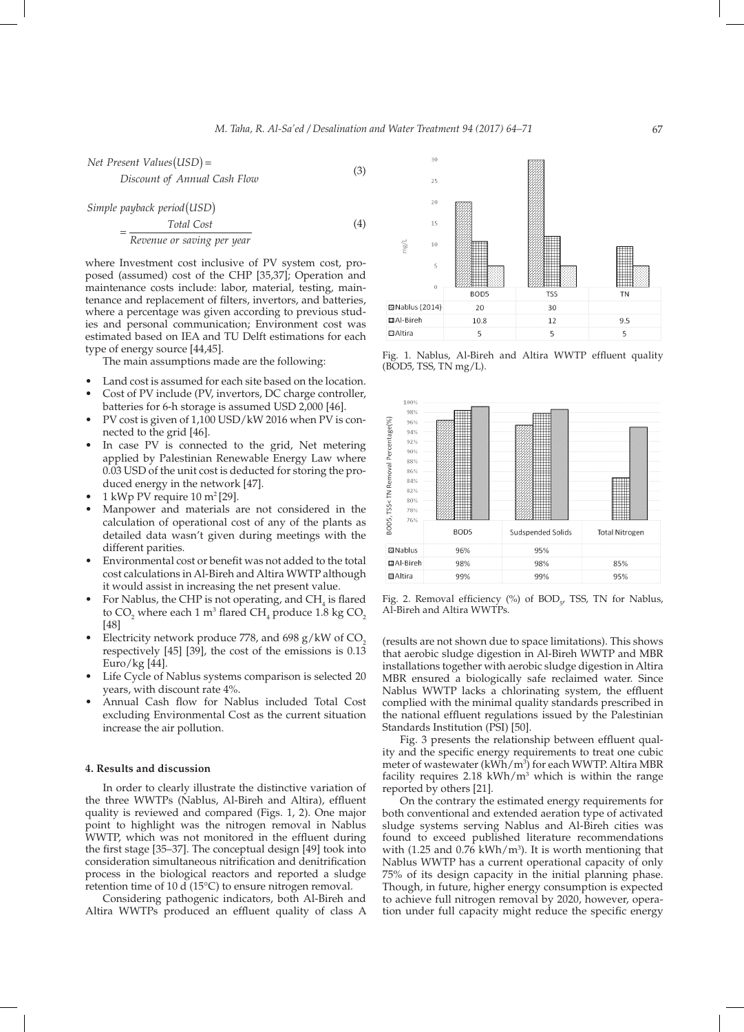(4)

*Net Present Values USD Discount of Annual Cash Flow*  $(LSD) =$  (3)

*Simple payback period USD* ( )

$$
= \frac{\text{Total Cost}}{\text{Revenue or saving per year}}
$$

where Investment cost inclusive of PV system cost, proposed (assumed) cost of the CHP [35,37]; Operation and maintenance costs include: labor, material, testing, maintenance and replacement of filters, invertors, and batteries, where a percentage was given according to previous studies and personal communication; Environment cost was estimated based on IEA and TU Delft estimations for each type of energy source [44,45].

The main assumptions made are the following:

- Land cost is assumed for each site based on the location.
- Cost of PV include (PV, invertors, DC charge controller, batteries for 6-h storage is assumed USD 2,000 [46].
- PV cost is given of 1,100 USD/kW 2016 when PV is connected to the grid [46].
- In case PV is connected to the grid, Net metering applied by Palestinian Renewable Energy Law where 0.03 USD of the unit cost is deducted for storing the produced energy in the network [47].
- $1$  kWp PV require  $10$  m<sup>2</sup> [29].
- Manpower and materials are not considered in the calculation of operational cost of any of the plants as detailed data wasn't given during meetings with the different parities.
- Environmental cost or benefit was not added to the total cost calculations in Al-Bireh and Altira WWTP although it would assist in increasing the net present value.
- For Nablus, the CHP is not operating, and  $CH_4$  is flared to  $\text{CO}_2$  where each 1 m<sup>3</sup> flared  $\text{CH}_4$  produce 1.8 kg  $\text{CO}_2$ [48]
- Electricity network produce 778, and 698  $g/kW$  of CO<sub>2</sub> respectively [45] [39], the cost of the emissions is 0.13 Euro/kg $[44]$ .
- Life Cycle of Nablus systems comparison is selected 20 years, with discount rate 4%.
- Annual Cash flow for Nablus included Total Cost excluding Environmental Cost as the current situation increase the air pollution.

# **4. Results and discussion**

In order to clearly illustrate the distinctive variation of the three WWTPs (Nablus, Al-Bireh and Altira), effluent quality is reviewed and compared (Figs. 1, 2). One major point to highlight was the nitrogen removal in Nablus WWTP, which was not monitored in the effluent during the first stage [35–37]. The conceptual design [49] took into consideration simultaneous nitrification and denitrification process in the biological reactors and reported a sludge retention time of 10 d (15°C) to ensure nitrogen removal.

Considering pathogenic indicators, both Al-Bireh and Altira WWTPs produced an effluent quality of class A



Fig. 1. Nablus, Al-Bireh and Altira WWTP effluent quality (BOD5, TSS, TN mg/L).



Fig. 2. Removal efficiency  $(\%)$  of BOD<sub>5</sub>, TSS, TN for Nablus, Al-Bireh and Altira WWTPs.

(results are not shown due to space limitations). This shows that aerobic sludge digestion in Al-Bireh WWTP and MBR installations together with aerobic sludge digestion in Altira MBR ensured a biologically safe reclaimed water. Since Nablus WWTP lacks a chlorinating system, the effluent complied with the minimal quality standards prescribed in the national effluent regulations issued by the Palestinian Standards Institution (PSI) [50].

Fig. 3 presents the relationship between effluent quality and the specific energy requirements to treat one cubic meter of wastewater (kWh/m<sup>3</sup>) for each WWTP. Altira MBR facility requires  $2.18 \text{ kWh/m}^3$  which is within the range reported by others [21].

On the contrary the estimated energy requirements for both conventional and extended aeration type of activated sludge systems serving Nablus and Al-Bireh cities was found to exceed published literature recommendations with  $(1.25 \text{ and } 0.76 \text{ kWh/m}^3)$ . It is worth mentioning that Nablus WWTP has a current operational capacity of only 75% of its design capacity in the initial planning phase. Though, in future, higher energy consumption is expected to achieve full nitrogen removal by 2020, however, operation under full capacity might reduce the specific energy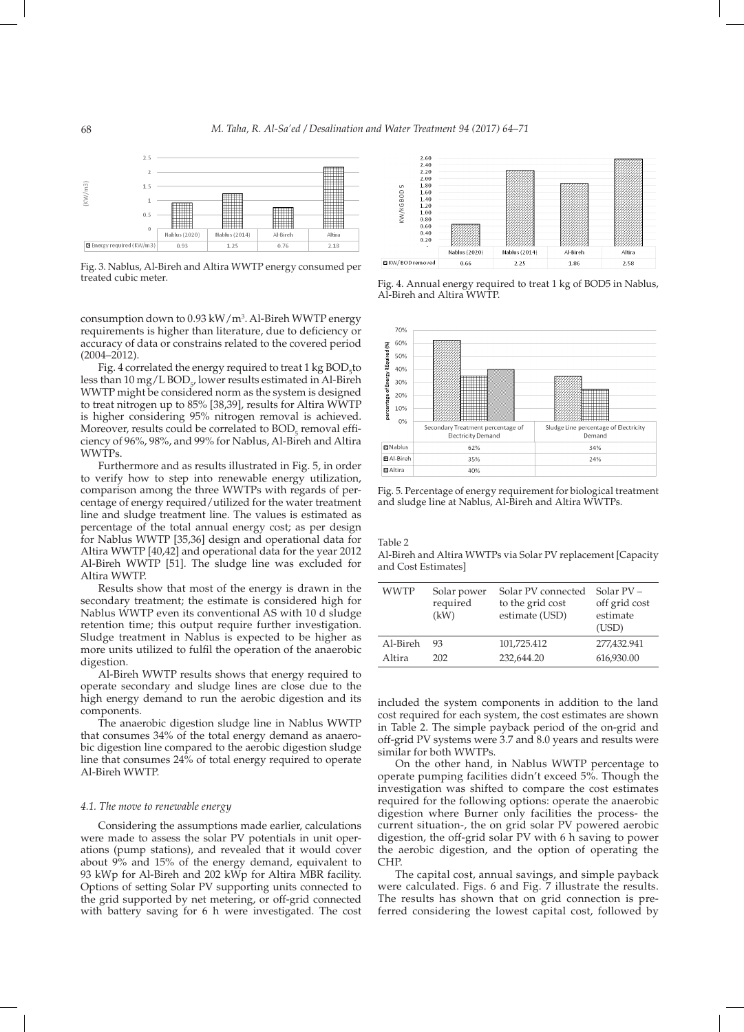

Fig. 3. Nablus, Al-Bireh and Altira WWTP energy consumed per

consumption down to 0.93 kW/m3 . Al-Bireh WWTP energy requirements is higher than literature, due to deficiency or accuracy of data or constrains related to the covered period (2004–2012).

Fig. 4 correlated the energy required to treat  $1 \text{ kg BOD}_{5}$  to less than  $10 \text{ mg/L BOD}_{57}$  lower results estimated in Al-Bireh WWTP might be considered norm as the system is designed to treat nitrogen up to 85% [38,39], results for Altira WWTP is higher considering 95% nitrogen removal is achieved. Moreover, results could be correlated to  $\mathrm{BOD}_5$  removal efficiency of 96%, 98%, and 99% for Nablus, Al-Bireh and Altira WWTPs.

Furthermore and as results illustrated in Fig. 5, in order to verify how to step into renewable energy utilization, comparison among the three WWTPs with regards of percentage of energy required/utilized for the water treatment line and sludge treatment line. The values is estimated as percentage of the total annual energy cost; as per design for Nablus WWTP [35,36] design and operational data for Altira WWTP [40,42] and operational data for the year 2012 Al-Bireh WWTP [51]. The sludge line was excluded for Altira WWTP.

Results show that most of the energy is drawn in the secondary treatment; the estimate is considered high for Nablus WWTP even its conventional AS with 10 d sludge retention time; this output require further investigation. Sludge treatment in Nablus is expected to be higher as more units utilized to fulfil the operation of the anaerobic digestion.

Al-Bireh WWTP results shows that energy required to operate secondary and sludge lines are close due to the high energy demand to run the aerobic digestion and its components.

The anaerobic digestion sludge line in Nablus WWTP that consumes 34% of the total energy demand as anaerobic digestion line compared to the aerobic digestion sludge line that consumes 24% of total energy required to operate Al-Bireh WWTP.

### *4.1. The move to renewable energy*

Considering the assumptions made earlier, calculations were made to assess the solar PV potentials in unit operations (pump stations), and revealed that it would cover about 9% and 15% of the energy demand, equivalent to 93 kWp for Al-Bireh and 202 kWp for Altira MBR facility. Options of setting Solar PV supporting units connected to the grid supported by net metering, or off-grid connected with battery saving for 6 h were investigated. The cost



Fig. 4. Annual energy required to treat 1 kg of BOD5 in Nablus, Al-Bireh and Altira WWTP.



Fig. 5. Percentage of energy requirement for biological treatment and sludge line at Nablus, Al-Bireh and Altira WWTPs.

Table 2

Al-Bireh and Altira WWTPs via Solar PV replacement [Capacity and Cost Estimates]

| <b>WWTP</b> | Solar power<br>required<br>(kW) | Solar PV connected<br>to the grid cost<br>estimate (USD) | Solar $PV -$<br>off grid cost<br>estimate<br>(USD) |
|-------------|---------------------------------|----------------------------------------------------------|----------------------------------------------------|
| Al-Bireh    | 93                              | 101,725.412                                              | 277,432.941                                        |
| Altira      | 202                             | 232,644.20                                               | 616,930.00                                         |

included the system components in addition to the land cost required for each system, the cost estimates are shown in Table 2. The simple payback period of the on-grid and off-grid PV systems were 3.7 and 8.0 years and results were similar for both WWTPs.

On the other hand, in Nablus WWTP percentage to operate pumping facilities didn't exceed 5%. Though the investigation was shifted to compare the cost estimates required for the following options: operate the anaerobic digestion where Burner only facilities the process- the current situation-, the on grid solar PV powered aerobic digestion, the off-grid solar PV with 6 h saving to power the aerobic digestion, and the option of operating the CHP.

The capital cost, annual savings, and simple payback were calculated. Figs. 6 and Fig. 7 illustrate the results. The results has shown that on grid connection is preferred considering the lowest capital cost, followed by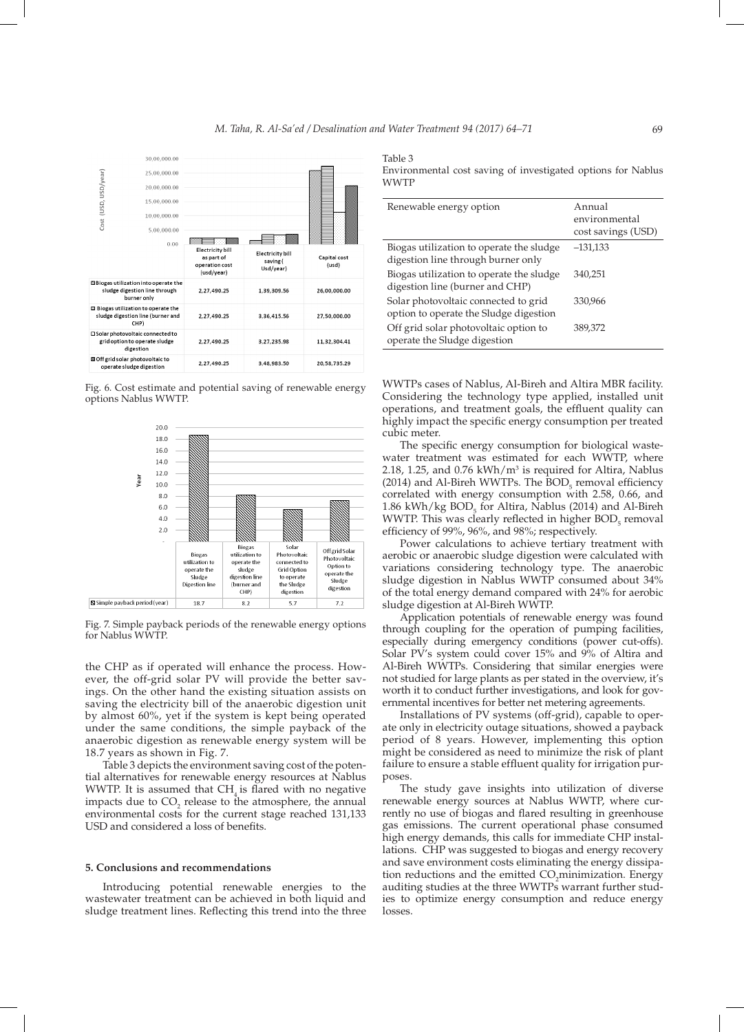

Fig. 6. Cost estimate and potential saving of renewable energy options Nablus WWTP.



Fig. 7. Simple payback periods of the renewable energy options for Nablus WWTP.

the CHP as if operated will enhance the process. However, the off-grid solar PV will provide the better savings. On the other hand the existing situation assists on saving the electricity bill of the anaerobic digestion unit by almost 60%, yet if the system is kept being operated under the same conditions, the simple payback of the anaerobic digestion as renewable energy system will be 18.7 years as shown in Fig. 7.

Table 3 depicts the environment saving cost of the potential alternatives for renewable energy resources at Nablus WWTP. It is assumed that  $CH<sub>4</sub>$  is flared with no negative impacts due to  $CO_2$  release to the atmosphere, the annual environmental costs for the current stage reached 131,133 USD and considered a loss of benefits.

#### **5. Conclusions and recommendations**

Introducing potential renewable energies to the wastewater treatment can be achieved in both liquid and sludge treatment lines. Reflecting this trend into the three

Table 3 Environmental cost saving of investigated options for Nablus WWTP

| Renewable energy option                                                        | Annual<br>environmental<br>cost savings (USD) |
|--------------------------------------------------------------------------------|-----------------------------------------------|
| Biogas utilization to operate the sludge<br>digestion line through burner only | $-131,133$                                    |
| Biogas utilization to operate the sludge<br>digestion line (burner and CHP)    | 340.251                                       |
| Solar photovoltaic connected to grid<br>option to operate the Sludge digestion | 330,966                                       |
| Off grid solar photovoltaic option to<br>operate the Sludge digestion          | 389,372                                       |

WWTPs cases of Nablus, Al-Bireh and Altira MBR facility. Considering the technology type applied, installed unit operations, and treatment goals, the effluent quality can highly impact the specific energy consumption per treated cubic meter.

The specific energy consumption for biological wastewater treatment was estimated for each WWTP, where 2.18, 1.25, and  $0.76$  kWh/m<sup>3</sup> is required for Altira, Nablus (2014) and Al-Bireh WWTPs. The  $BOD_5$  removal efficiency correlated with energy consumption with 2.58, 0.66, and 1.86 kWh/kg  $BOD_5$  for Altira, Nablus (2014) and Al-Bireh WWTP. This was clearly reflected in higher  $BOD<sub>5</sub>$  removal efficiency of 99%, 96%, and 98%; respectively.

Power calculations to achieve tertiary treatment with aerobic or anaerobic sludge digestion were calculated with variations considering technology type. The anaerobic sludge digestion in Nablus WWTP consumed about 34% of the total energy demand compared with 24% for aerobic sludge digestion at Al-Bireh WWTP.

Application potentials of renewable energy was found through coupling for the operation of pumping facilities, especially during emergency conditions (power cut-offs). Solar PV's system could cover 15% and 9% of Altira and Al-Bireh WWTPs. Considering that similar energies were not studied for large plants as per stated in the overview, it's worth it to conduct further investigations, and look for governmental incentives for better net metering agreements.

Installations of PV systems (off-grid), capable to operate only in electricity outage situations, showed a payback period of 8 years. However, implementing this option might be considered as need to minimize the risk of plant failure to ensure a stable effluent quality for irrigation purposes.

The study gave insights into utilization of diverse renewable energy sources at Nablus WWTP, where currently no use of biogas and flared resulting in greenhouse gas emissions. The current operational phase consumed high energy demands, this calls for immediate CHP installations. CHP was suggested to biogas and energy recovery and save environment costs eliminating the energy dissipation reductions and the emitted CO<sub>2</sub>minimization. Energy auditing studies at the three WWTPs warrant further studies to optimize energy consumption and reduce energy losses.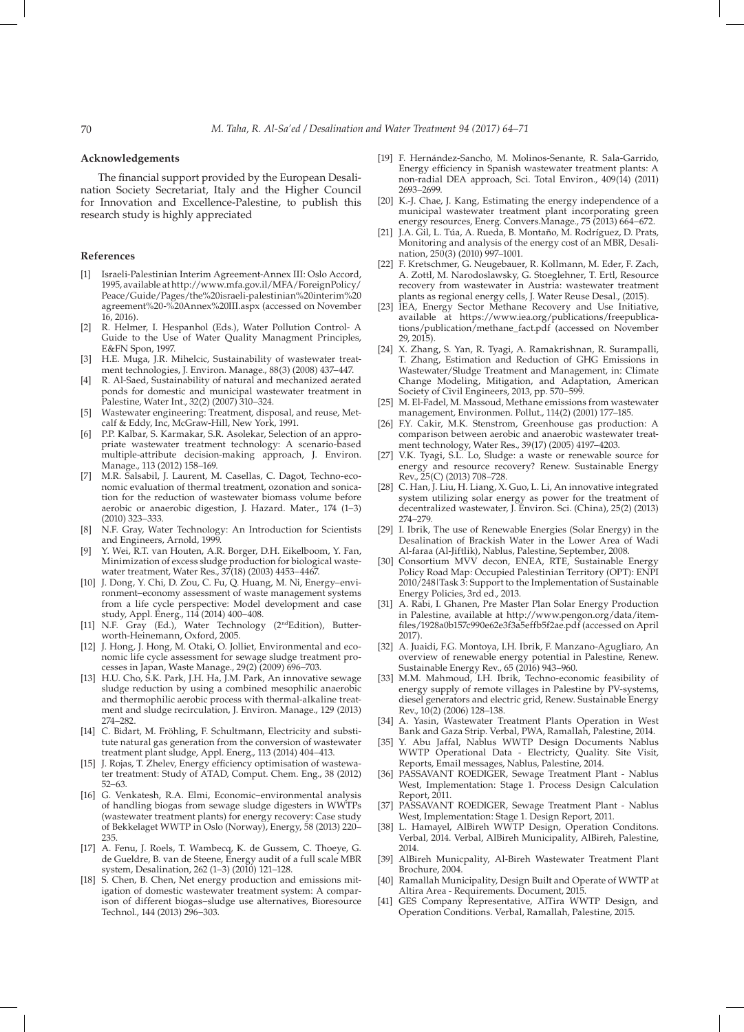# **Acknowledgements**

The financial support provided by the European Desalination Society Secretariat, Italy and the Higher Council for Innovation and Excellence-Palestine, to publish this research study is highly appreciated

# **References**

- [1] Israeli-Palestinian Interim Agreement-Annex III: Oslo Accord, 1995, available at http://www.mfa.gov.il/MFA/ForeignPolicy/ Peace/Guide/Pages/the%20israeli-palestinian%20interim%20 agreement%20-%20Annex%20III.aspx (accessed on November 16, 2016).
- [2] R. Helmer, I. Hespanhol (Eds.), Water Pollution Control- A Guide to the Use of Water Quality Managment Principles, E&FN Spon, 1997.
- [3] H.E. Muga, J.R. Mihelcic, Sustainability of wastewater treatment technologies, J. Environ. Manage., 88(3) (2008) 437–447.
- [4] R. Al-Saed, Sustainability of natural and mechanized aerated ponds for domestic and municipal wastewater treatment in Palestine, Water Int., 32(2) (2007) 310–324.
- [5] Wastewater engineering: Treatment, disposal, and reuse, Metcalf & Eddy, Inc, McGraw-Hill, New York, 1991.
- [6] P.P. Kalbar, S. Karmakar, S.R. Asolekar, Selection of an appropriate wastewater treatment technology: A scenario-based multiple-attribute decision-making approach, J. Environ. Manage., 113 (2012) 158–169.
- [7] M.R. Salsabil, J. Laurent, M. Casellas, C. Dagot, Techno-economic evaluation of thermal treatment, ozonation and sonication for the reduction of wastewater biomass volume before aerobic or anaerobic digestion, J. Hazard. Mater., 174 (1–3) (2010) 323–333.
- [8] N.F. Gray, Water Technology: An Introduction for Scientists and Engineers, Arnold, 1999.
- [9] Y. Wei, R.T. van Houten, A.R. Borger, D.H. Eikelboom, Y. Fan, Minimization of excess sludge production for biological wastewater treatment, Water Res., 37(18) (2003) 4453–4467.
- [10] J. Dong, Y. Chi, D. Zou, C. Fu, Q. Huang, M. Ni, Energy–environment–economy assessment of waste management systems from a life cycle perspective: Model development and case study, Appl. Energ., 114 (2014) 400–408.
- [11] N.F. Gray (Ed.), Water Technology (2<sup>nd</sup>Edition), Butterworth-Heinemann, Oxford, 2005.
- [12] J. Hong, J. Hong, M. Otaki, O. Jolliet, Environmental and economic life cycle assessment for sewage sludge treatment processes in Japan, Waste Manage., 29(2) (2009) 696–703.
- [13] H.U. Cho, S.K. Park, J.H. Ha, J.M. Park, An innovative sewage sludge reduction by using a combined mesophilic anaerobic and thermophilic aerobic process with thermal-alkaline treatment and sludge recirculation, J. Environ. Manage., 129 (2013) 274–282.
- [14] C. Bidart, M. Fröhling, F. Schultmann, Electricity and substitute natural gas generation from the conversion of wastewater treatment plant sludge, Appl. Energ., 113 (2014) 404–413.
- [15] J. Rojas, T. Zhelev, Energy efficiency optimisation of wastewater treatment: Study of ATAD, Comput. Chem. Eng., 38 (2012) 52–63.
- [16] G. Venkatesh, R.A. Elmi, Economic–environmental analysis of handling biogas from sewage sludge digesters in WWTPs (wastewater treatment plants) for energy recovery: Case study of Bekkelaget WWTP in Oslo (Norway), Energy, 58 (2013) 220– 235.
- [17] A. Fenu, J. Roels, T. Wambecq, K. de Gussem, C. Thoeye, G. de Gueldre, B. van de Steene, Energy audit of a full scale MBR system, Desalination, 262 (1–3) (2010) 121–128.
- [18] S. Chen, B. Chen, Net energy production and emissions mitigation of domestic wastewater treatment system: A comparison of different biogas–sludge use alternatives, Bioresource Technol., 144 (2013) 296–303.
- [19] F. Hernández-Sancho, M. Molinos-Senante, R. Sala-Garrido, Energy efficiency in Spanish wastewater treatment plants: A non-radial DEA approach, Sci. Total Environ., 409(14) (2011) 2693–2699.
- [20] K.-J. Chae, J. Kang, Estimating the energy independence of a municipal wastewater treatment plant incorporating green energy resources, Energ. Convers.Manage., 75 (2013) 664–672.
- [21] J.A. Gil, L. Túa, A. Rueda, B. Montaño, M. Rodríguez, D. Prats, Monitoring and analysis of the energy cost of an MBR, Desalination, 250(3) (2010) 997–1001.
- [22] F. Kretschmer, G. Neugebauer, R. Kollmann, M. Eder, F. Zach, A. Zottl, M. Narodoslawsky, G. Stoeglehner, T. Ertl, Resource recovery from wastewater in Austria: wastewater treatment plants as regional energy cells, J. Water Reuse Desal., (2015).
- [23] IEA, Energy Sector Methane Recovery and Use Initiative, available at https://www.iea.org/publications/freepublications/publication/methane\_fact.pdf (accessed on November 29, 2015).
- [24] X. Zhang, S. Yan, R. Tyagi, A. Ramakrishnan, R. Surampalli, T. Zhang, Estimation and Reduction of GHG Emissions in Wastewater/Sludge Treatment and Management, in: Climate Change Modeling, Mitigation, and Adaptation, American Society of Civil Engineers, 2013, pp. 570–599.
- [25] M. El-Fadel, M. Massoud, Methane emissions from wastewater management, Environmen. Pollut., 114(2) (2001) 177–185.
- [26] F.Y. Cakir, M.K. Stenstrom, Greenhouse gas production: A comparison between aerobic and anaerobic wastewater treatment technology, Water Res., 39(17) (2005) 4197–4203.
- [27] V.K. Tyagi, S.L. Lo, Sludge: a waste or renewable source for energy and resource recovery? Renew. Sustainable Energy Rev., 25(C) (2013) 708–728.
- [28] C. Han, J. Liu, H. Liang, X. Guo, L. Li, An innovative integrated system utilizing solar energy as power for the treatment of decentralized wastewater, J. Environ. Sci. (China), 25(2) (2013) 274–279.
- [29] I. Ibrik, The use of Renewable Energies (Solar Energy) in the Desalination of Brackish Water in the Lower Area of Wadi Al-faraa (Al-Jiftlik), Nablus, Palestine, September, 2008.
- [30] Consortium MVV decon, ENEA, RTE, Sustainable Energy Policy Road Map: Occupied Palestinian Territory (OPT): ENPI 2010/248|Task 3: Support to the Implementation of Sustainable Energy Policies, 3rd ed., 2013.
- [31] A. Rabi, I. Ghanen, Pre Master Plan Solar Energy Production in Palestine, available at http://www.pengon.org/data/itemfiles/1928a0b157c990e62e3f3a5effb5f2ae.pdf (accessed on April 2017).
- [32] A. Juaidi, F.G. Montoya, I.H. Ibrik, F. Manzano-Agugliaro, An overview of renewable energy potential in Palestine, Renew. Sustainable Energy Rev., 65 (2016) 943–960.
- [33] M.M. Mahmoud, I.H. Ibrik, Techno-economic feasibility of energy supply of remote villages in Palestine by PV-systems, diesel generators and electric grid, Renew. Sustainable Energy Rev., 10(2) (2006) 128–138.
- [34] A. Yasin, Wastewater Treatment Plants Operation in West Bank and Gaza Strip. Verbal, PWA, Ramallah, Palestine, 2014.
- Y. Abu Jaffal, Nablus WWTP Design Documents Nablus WWTP Operational Data - Electricty, Quality. Site Visit, Reports, Email messages, Nablus, Palestine, 2014.
- [36] PASSAVANT ROEDIGER, Sewage Treatment Plant Nablus West, Implementation: Stage 1. Process Design Calculation Report, 2011.
- [37] PASSAVANT ROEDIGER, Sewage Treatment Plant Nablus West, Implementation: Stage 1. Design Report, 2011.
- [38] L. Hamayel, AlBireh WWTP Design, Operation Conditons. Verbal, 2014. Verbal, AlBireh Municipality, AlBireh, Palestine, 2014.
- [39] AlBireh Municpality, Al-Bireh Wastewater Treatment Plant Brochure, 2004.
- [40] Ramallah Municipality, Design Built and Operate of WWTP at Altira Area - Requirements. Document, 2015.
- [41] GES Company Representative, AlTira WWTP Design, and Operation Conditions. Verbal, Ramallah, Palestine, 2015.